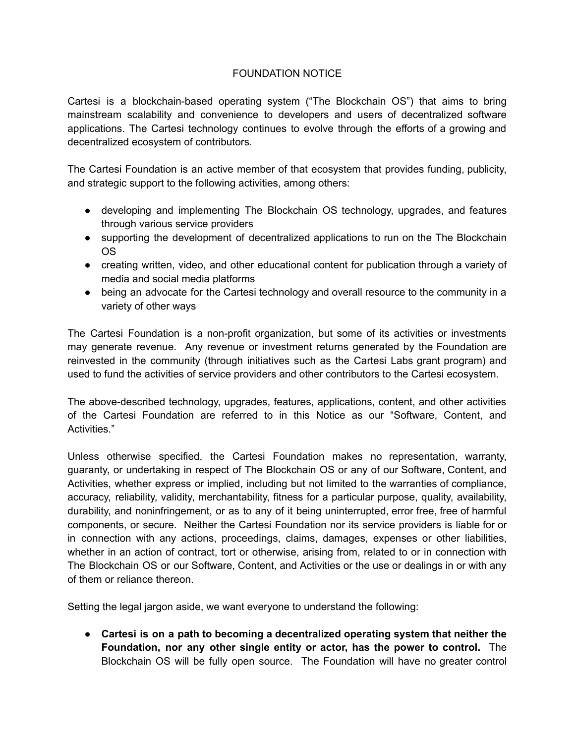## FOUNDATION NOTICE

Cartesi is a blockchain-based operating system ("The Blockchain OS") that aims to bring mainstream scalability and convenience to developers and users of decentralized software applications. The Cartesi technology continues to evolve through the efforts of a growing and decentralized ecosystem of contributors.

The Cartesi Foundation is an active member of that ecosystem that provides funding, publicity, and strategic support to the following activities, among others:

- developing and implementing The Blockchain OS technology, upgrades, and features through various service providers
- supporting the development of decentralized applications to run on the The Blockchain OS
- creating written, video, and other educational content for publication through a variety of media and social media platforms
- being an advocate for the Cartesi technology and overall resource to the community in a variety of other ways

The Cartesi Foundation is a non-profit organization, but some of its activities or investments may generate revenue. Any revenue or investment returns generated by the Foundation are reinvested in the community (through initiatives such as the Cartesi Labs grant program) and used to fund the activities of service providers and other contributors to the Cartesi ecosystem.

The above-described technology, upgrades, features, applications, content, and other activities of the Cartesi Foundation are referred to in this Notice as our "Software, Content, and Activities."

Unless otherwise specified, the Cartesi Foundation makes no representation, warranty, guaranty, or undertaking in respect of The Blockchain OS or any of our Software, Content, and Activities, whether express or implied, including but not limited to the warranties of compliance, accuracy, reliability, validity, merchantability, fitness for a particular purpose, quality, availability, durability, and noninfringement, or as to any of it being uninterrupted, error free, free of harmful components, or secure. Neither the Cartesi Foundation nor its service providers is liable for or in connection with any actions, proceedings, claims, damages, expenses or other liabilities, whether in an action of contract, tort or otherwise, arising from, related to or in connection with The Blockchain OS or our Software, Content, and Activities or the use or dealings in or with any of them or reliance thereon.

Setting the legal jargon aside, we want everyone to understand the following:

**● Cartesi is on a path to becoming a decentralized operating system that neither the Foundation, nor any other single entity or actor, has the power to control.** The Blockchain OS will be fully open source. The Foundation will have no greater control